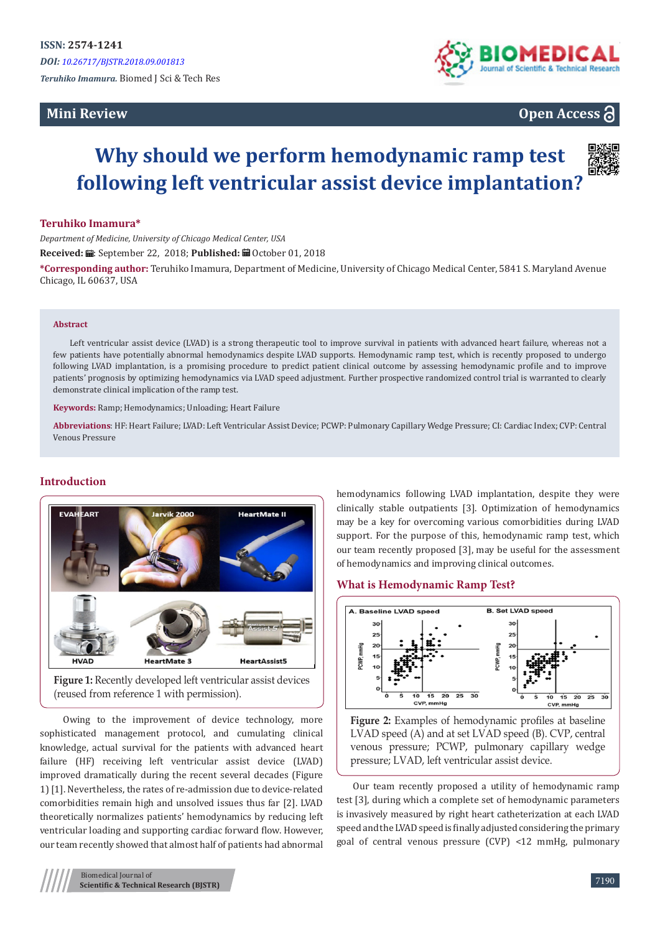## **Mini Review**



# **Open Access**

# **Why should we perform hemodynamic ramp test following left ventricular assist device implantation?**

#### **Teruhiko Imamura\***

*Department of Medicine, University of Chicago Medical Center, USA* Received: *a*: September 22, 2018; Published: <sup>a</sup> October 01, 2018

**\*Corresponding author:** Teruhiko Imamura, Department of Medicine, University of Chicago Medical Center, 5841 S. Maryland Avenue Chicago, IL 60637, USA

#### **Abstract**

Left ventricular assist device (LVAD) is a strong therapeutic tool to improve survival in patients with advanced heart failure, whereas not a few patients have potentially abnormal hemodynamics despite LVAD supports. Hemodynamic ramp test, which is recently proposed to undergo following LVAD implantation, is a promising procedure to predict patient clinical outcome by assessing hemodynamic profile and to improve patients' prognosis by optimizing hemodynamics via LVAD speed adjustment. Further prospective randomized control trial is warranted to clearly demonstrate clinical implication of the ramp test.

**Keywords:** Ramp; Hemodynamics; Unloading; Heart Failure

**Abbreviations**: HF: Heart Failure; LVAD: Left Ventricular Assist Device; PCWP: Pulmonary Capillary Wedge Pressure; CI: Cardiac Index; CVP: Central Venous Pressure

## **Introduction**



**Figure 1:** Recently developed left ventricular assist devices (reused from reference 1 with permission).

 Owing to the improvement of device technology, more sophisticated management protocol, and cumulating clinical knowledge, actual survival for the patients with advanced heart failure (HF) receiving left ventricular assist device (LVAD) improved dramatically during the recent several decades (Figure 1) [1]. Nevertheless, the rates of re-admission due to device-related comorbidities remain high and unsolved issues thus far [2]. LVAD theoretically normalizes patients' hemodynamics by reducing left ventricular loading and supporting cardiac forward flow. However, our team recently showed that almost half of patients had abnormal

hemodynamics following LVAD implantation, despite they were clinically stable outpatients [3]. Optimization of hemodynamics may be a key for overcoming various comorbidities during LVAD support. For the purpose of this, hemodynamic ramp test, which our team recently proposed [3], may be useful for the assessment of hemodynamics and improving clinical outcomes.

#### **What is Hemodynamic Ramp Test?**



Figure 2: Examples of hemodynamic profiles at baseline LVAD speed (A) and at set LVAD speed (B). CVP, central venous pressure; PCWP, pulmonary capillary wedge pressure; LVAD, left ventricular assist device.

Our team recently proposed a utility of hemodynamic ramp test [3], during which a complete set of hemodynamic parameters is invasively measured by right heart catheterization at each LVAD speed and the LVAD speed is finally adjusted considering the primary goal of central venous pressure (CVP) <12 mmHg, pulmonary